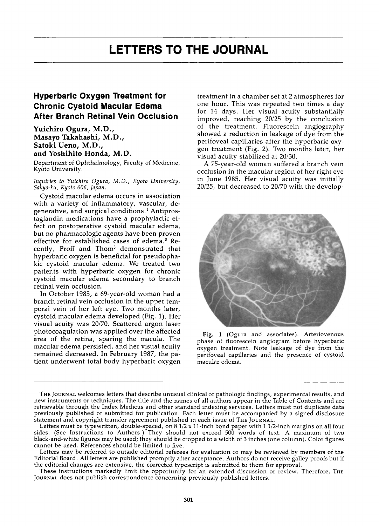## **Hyperbaric Oxygen Treatment for Chronic Cystoid Macular Edema After Branch Retinal Vein Occlusion**

Yuichiro Ogura, M.D., Masayo Takahashi, M.D., Satoki Ueno, M.D., and Yoshihito Honda, M.D.

Department of Ophthalmology, Faculty of Medicine, Kyoto University.

*Inquiries to Yuichiro Ogura, M.D., Kyoto University, Sakyo-ku, Kyoto 606, Japan.* 

Cystoid macular edema occurs in association with a variety of inflammatory, vascular, degenerative, and surgical conditions.<sup>1</sup> Antiprostaglandin medications have a prophylactic effect on postoperative cystoid macular edema, but no pharmacologic agents have been proven effective for established cases of edema.<sup>2</sup> Recently, Proff and Thom<sup>3</sup> demonstrated that hyperbaric oxygen is beneficial for pseudophakic cystoid macular edema. We treated two patients with hyperbaric oxygen for chronic cystoid macular edema secondary to branch retinal vein occlusion.

In October 1985, a 69-year-old woman had a branch retinal vein occlusion in the upper temporal vein of her left eye. Two months later, cystoid macular edema developed (Fig. 1). Her visual acuity was 20/70. Scattered argon laser photocoagulation was applied over the affected area of the retina, sparing the macula. The macular edema persisted, and her visual acuity remained decreased. In February 1987, the patient underwent total body hyperbaric oxygen treatment in a chamber set at 2 atmospheres for one hour. This was repeated two times a day for 14 days. Her visual acuity substantially improved, reaching 20/25 by the conclusion of the treatment. Fluorescein angiography showed a reduction in leakage of dye from the perifoveal capillaries after the hyperbaric oxygen treatment (Fig. 2). Two months later, her visual acuity stabilized at 20/30.

A 75-year-old woman suffered a branch vein occlusion in the macular region of her right eye in June 1985. Her visual acuity was initially 20/25, but decreased to 20/70 with the develop-



Fig. 1 (Ogura and associates). Arteriovenous phase of fluorescein angiogram before hyperbaric oxygen treatment. Note leakage of dye from the perifoveal capillaries and the presence of cystoid macular edema.

THE JOURNAL welcomes letters that describe unusual clinical or pathologic findings, experimental results, and new instruments or techniques. The title and the names of all authors appear in the Table of Contents and are retrievable through the Index Medicus and other standard indexing services. Letters must not duplicate data previously published or submitted for publication. Each letter must be accompanied by a signed disclosure statement and copyright transfer agreement published in each issue of THE JOURNAL.

Letters must be typewritten, double-spaced, on 8 1/2 x 11-inch bond paper with 1 1/2-inch margins on all four sides. (See Instructions to Authors.) They should not exceed 500 words of text. A maximum of two black-and-white figures may be used; they should be cropped to a width of 3 inches (one column). Color figures cannot be used. References should be limited to five.

Letters may be referred to outside editorial referees for evaluation or may be reviewed by members of the Editorial Board. All letters are published promptly after acceptance. Authors do not receive galley proofs but if the editorial changes are extensive, the corrected typescript is submitted to them for approval.

These instructions markedly limit the opportunity for an extended discussion or review. Therefore, THE JOURNAL does not publish correspondence concerning previously published letters.